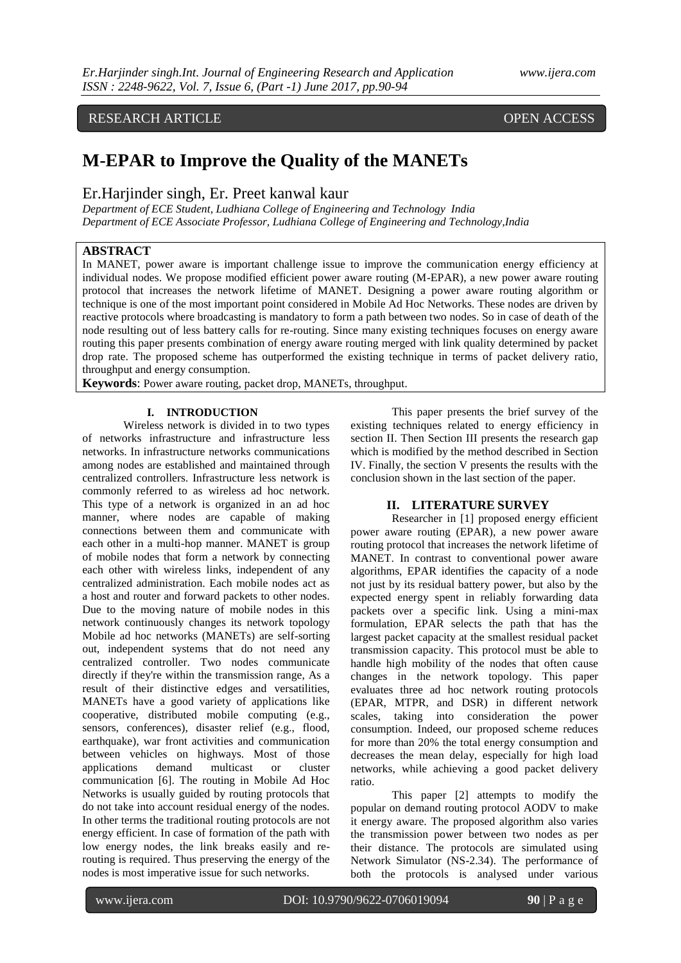# RESEARCH ARTICLE OPEN ACCESS

# **M-EPAR to Improve the Quality of the MANETs**

## Er.Harjinder singh, Er. Preet kanwal kaur

*Department of ECE Student, Ludhiana College of Engineering and Technology India Department of ECE Associate Professor, Ludhiana College of Engineering and Technology,India*

### **ABSTRACT**

In MANET, power aware is important challenge issue to improve the communication energy efficiency at individual nodes. We propose modified efficient power aware routing (M-EPAR), a new power aware routing protocol that increases the network lifetime of MANET. Designing a power aware routing algorithm or technique is one of the most important point considered in Mobile Ad Hoc Networks. These nodes are driven by reactive protocols where broadcasting is mandatory to form a path between two nodes. So in case of death of the node resulting out of less battery calls for re-routing. Since many existing techniques focuses on energy aware routing this paper presents combination of energy aware routing merged with link quality determined by packet drop rate. The proposed scheme has outperformed the existing technique in terms of packet delivery ratio, throughput and energy consumption.

**Keywords**: Power aware routing, packet drop, MANETs, throughput*.*

#### **I. INTRODUCTION**

Wireless network is divided in to two types of networks infrastructure and infrastructure less networks. In infrastructure networks communications among nodes are established and maintained through centralized controllers. Infrastructure less network is commonly referred to as wireless ad hoc network. This type of a network is organized in an ad hoc manner, where nodes are capable of making connections between them and communicate with each other in a multi-hop manner. MANET is group of mobile nodes that form a network by connecting each other with wireless links, independent of any centralized administration. Each mobile nodes act as a host and router and forward packets to other nodes. Due to the moving nature of mobile nodes in this network continuously changes its network topology Mobile ad hoc networks (MANETs) are self-sorting out, independent systems that do not need any centralized controller. Two nodes communicate directly if they're within the transmission range, As a result of their distinctive edges and versatilities, MANETs have a good variety of applications like cooperative, distributed mobile computing (e.g., sensors, conferences), disaster relief (e.g., flood, earthquake), war front activities and communication between vehicles on highways. Most of those applications demand multicast or cluster communication [6]. The routing in Mobile Ad Hoc Networks is usually guided by routing protocols that do not take into account residual energy of the nodes. In other terms the traditional routing protocols are not energy efficient. In case of formation of the path with low energy nodes, the link breaks easily and rerouting is required. Thus preserving the energy of the nodes is most imperative issue for such networks.

This paper presents the brief survey of the existing techniques related to energy efficiency in section II. Then Section III presents the research gap which is modified by the method described in Section IV. Finally, the section V presents the results with the conclusion shown in the last section of the paper.

#### **II. LITERATURE SURVEY**

Researcher in [1] proposed energy efficient power aware routing (EPAR), a new power aware routing protocol that increases the network lifetime of MANET. In contrast to conventional power aware algorithms, EPAR identifies the capacity of a node not just by its residual battery power, but also by the expected energy spent in reliably forwarding data packets over a specific link. Using a mini-max formulation, EPAR selects the path that has the largest packet capacity at the smallest residual packet transmission capacity. This protocol must be able to handle high mobility of the nodes that often cause changes in the network topology. This paper evaluates three ad hoc network routing protocols (EPAR, MTPR, and DSR) in different network scales, taking into consideration the power consumption. Indeed, our proposed scheme reduces for more than 20% the total energy consumption and decreases the mean delay, especially for high load networks, while achieving a good packet delivery ratio.

This paper [2] attempts to modify the popular on demand routing protocol AODV to make it energy aware. The proposed algorithm also varies the transmission power between two nodes as per their distance. The protocols are simulated using Network Simulator (NS-2.34). The performance of both the protocols is analysed under various

www.ijera.com DOI: 10.9790/9622-0706019094 **90** | P a g e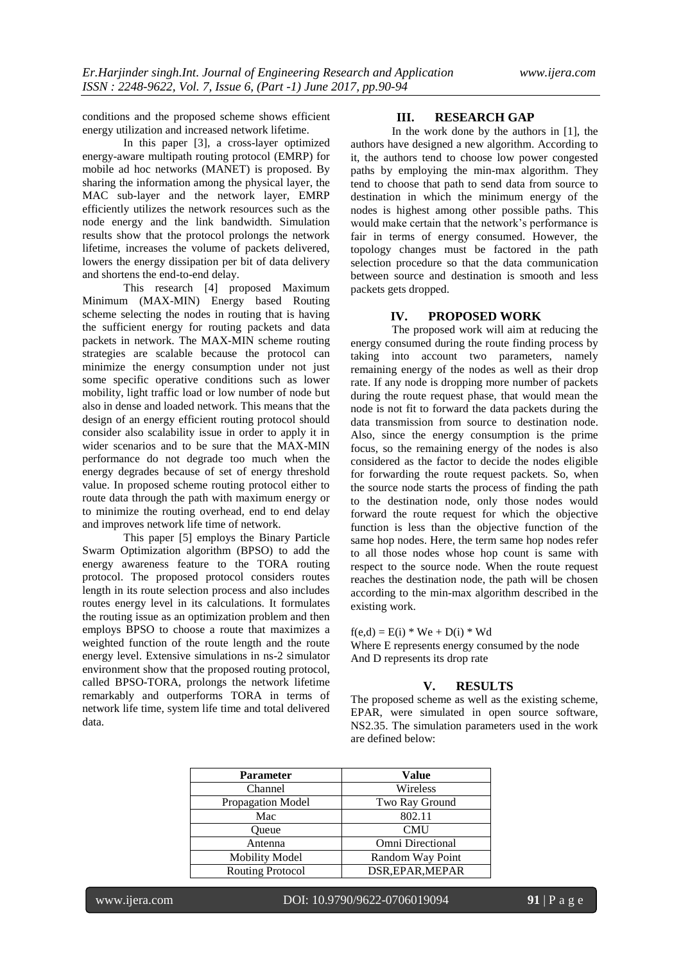conditions and the proposed scheme shows efficient energy utilization and increased network lifetime.

In this paper [3], a cross-layer optimized energy-aware multipath routing protocol (EMRP) for mobile ad hoc networks (MANET) is proposed. By sharing the information among the physical layer, the MAC sub-layer and the network layer, EMRP efficiently utilizes the network resources such as the node energy and the link bandwidth. Simulation results show that the protocol prolongs the network lifetime, increases the volume of packets delivered, lowers the energy dissipation per bit of data delivery and shortens the end-to-end delay.

This research [4] proposed Maximum Minimum (MAX-MIN) Energy based Routing scheme selecting the nodes in routing that is having the sufficient energy for routing packets and data packets in network. The MAX-MIN scheme routing strategies are scalable because the protocol can minimize the energy consumption under not just some specific operative conditions such as lower mobility, light traffic load or low number of node but also in dense and loaded network. This means that the design of an energy efficient routing protocol should consider also scalability issue in order to apply it in wider scenarios and to be sure that the MAX-MIN performance do not degrade too much when the energy degrades because of set of energy threshold value. In proposed scheme routing protocol either to route data through the path with maximum energy or to minimize the routing overhead, end to end delay and improves network life time of network.

This paper [5] employs the Binary Particle Swarm Optimization algorithm (BPSO) to add the energy awareness feature to the TORA routing protocol. The proposed protocol considers routes length in its route selection process and also includes routes energy level in its calculations. It formulates the routing issue as an optimization problem and then employs BPSO to choose a route that maximizes a weighted function of the route length and the route energy level. Extensive simulations in ns-2 simulator environment show that the proposed routing protocol, called BPSO-TORA, prolongs the network lifetime remarkably and outperforms TORA in terms of network life time, system life time and total delivered data.

#### **III. RESEARCH GAP**

In the work done by the authors in [1], the authors have designed a new algorithm. According to it, the authors tend to choose low power congested paths by employing the min-max algorithm. They tend to choose that path to send data from source to destination in which the minimum energy of the nodes is highest among other possible paths. This would make certain that the network's performance is fair in terms of energy consumed. However, the topology changes must be factored in the path selection procedure so that the data communication between source and destination is smooth and less packets gets dropped.

#### **IV. PROPOSED WORK**

The proposed work will aim at reducing the energy consumed during the route finding process by taking into account two parameters, namely remaining energy of the nodes as well as their drop rate. If any node is dropping more number of packets during the route request phase, that would mean the node is not fit to forward the data packets during the data transmission from source to destination node. Also, since the energy consumption is the prime focus, so the remaining energy of the nodes is also considered as the factor to decide the nodes eligible for forwarding the route request packets. So, when the source node starts the process of finding the path to the destination node, only those nodes would forward the route request for which the objective function is less than the objective function of the same hop nodes. Here, the term same hop nodes refer to all those nodes whose hop count is same with respect to the source node. When the route request reaches the destination node, the path will be chosen according to the min-max algorithm described in the existing work.

 $f(e,d) = E(i) * We + D(i) * Wd$ 

Where E represents energy consumed by the node And D represents its drop rate

#### **V. RESULTS**

The proposed scheme as well as the existing scheme, EPAR, were simulated in open source software, NS2.35. The simulation parameters used in the work are defined below:

| <b>Parameter</b>        | Value            |  |  |  |
|-------------------------|------------------|--|--|--|
| Channel                 | Wireless         |  |  |  |
| Propagation Model       | Two Ray Ground   |  |  |  |
| Mac                     | 802.11           |  |  |  |
| Oueue                   | <b>CMU</b>       |  |  |  |
| Antenna                 | Omni Directional |  |  |  |
| <b>Mobility Model</b>   | Random Way Point |  |  |  |
| <b>Routing Protocol</b> | DSR, EPAR, MEPAR |  |  |  |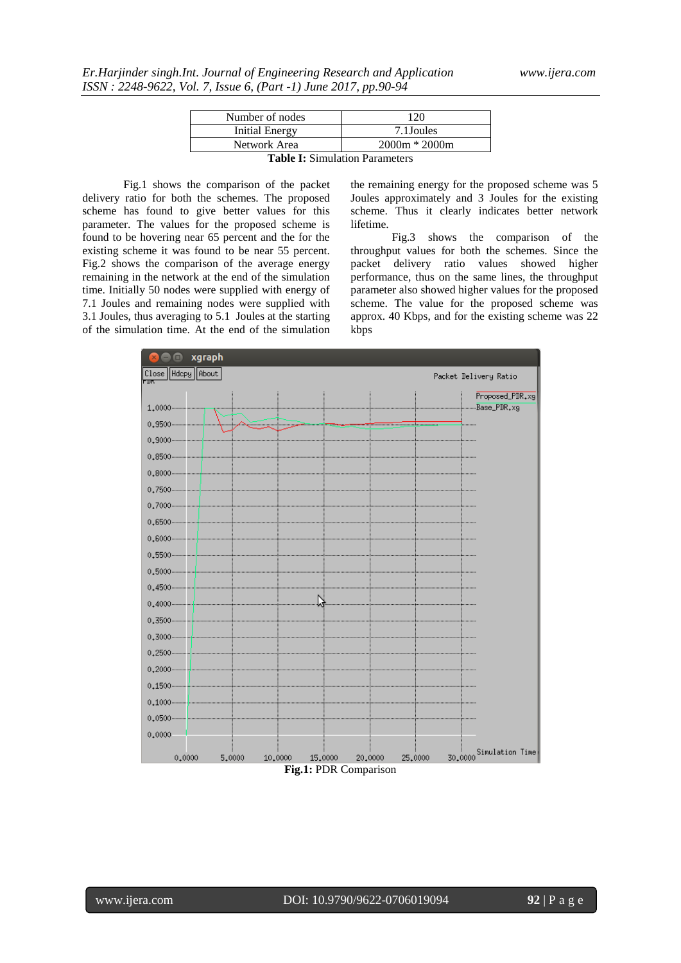| Number of nodes                 | 120             |  |  |  |  |
|---------------------------------|-----------------|--|--|--|--|
| Initial Energy                  | 7.1 Joules      |  |  |  |  |
| Network Area                    | $2000m * 2000m$ |  |  |  |  |
| Table L. Cincolation Demonstrat |                 |  |  |  |  |

**Table I:** Simulation Parameters

Fig.1 shows the comparison of the packet delivery ratio for both the schemes. The proposed scheme has found to give better values for this parameter. The values for the proposed scheme is found to be hovering near 65 percent and the for the existing scheme it was found to be near 55 percent. Fig.2 shows the comparison of the average energy remaining in the network at the end of the simulation time. Initially 50 nodes were supplied with energy of 7.1 Joules and remaining nodes were supplied with 3.1 Joules, thus averaging to 5.1 Joules at the starting of the simulation time. At the end of the simulation

the remaining energy for the proposed scheme was 5 Joules approximately and 3 Joules for the existing scheme. Thus it clearly indicates better network lifetime.

Fig.3 shows the comparison of the throughput values for both the schemes. Since the packet delivery ratio values showed higher performance, thus on the same lines, the throughput parameter also showed higher values for the proposed scheme. The value for the proposed scheme was approx. 40 Kbps, and for the existing scheme was 22 kbps

| □              | xgraph                     |         |         |                                             |         |                             |  |
|----------------|----------------------------|---------|---------|---------------------------------------------|---------|-----------------------------|--|
| Hdcpy<br>Close | About                      |         |         |                                             |         | Packet Delivery Ratio       |  |
|                |                            |         |         |                                             |         | Proposed_PDR <sub>+X9</sub> |  |
| 1,0000         |                            |         |         |                                             |         |                             |  |
| 0.9500         |                            |         |         |                                             |         |                             |  |
|                |                            |         |         |                                             |         |                             |  |
|                | 0.8500                     |         |         |                                             |         |                             |  |
|                |                            |         |         |                                             |         |                             |  |
|                |                            |         |         |                                             |         |                             |  |
|                |                            |         |         |                                             |         |                             |  |
|                |                            |         |         |                                             |         |                             |  |
|                |                            |         |         |                                             |         |                             |  |
|                |                            |         |         |                                             |         |                             |  |
|                |                            |         |         |                                             |         |                             |  |
|                |                            |         |         |                                             |         |                             |  |
|                | $0.4000$ $\longrightarrow$ |         |         |                                             |         |                             |  |
|                |                            |         |         |                                             |         |                             |  |
|                |                            |         |         |                                             |         |                             |  |
|                |                            |         |         |                                             |         |                             |  |
|                |                            |         |         |                                             |         |                             |  |
|                |                            |         |         |                                             |         |                             |  |
|                |                            |         |         |                                             |         |                             |  |
|                |                            |         |         |                                             |         |                             |  |
| 0,0000         |                            |         |         |                                             |         |                             |  |
| 0,0000         | 5,0000                     | 10,0000 | 15,0000 | 20,0000                                     | 25,0000 | 30,0000 Simulation Time     |  |
|                |                            |         |         | $\operatorname{Fi}\sigma$ 1. PDR Comparison |         |                             |  |

**Fig.1:** PDR Comparison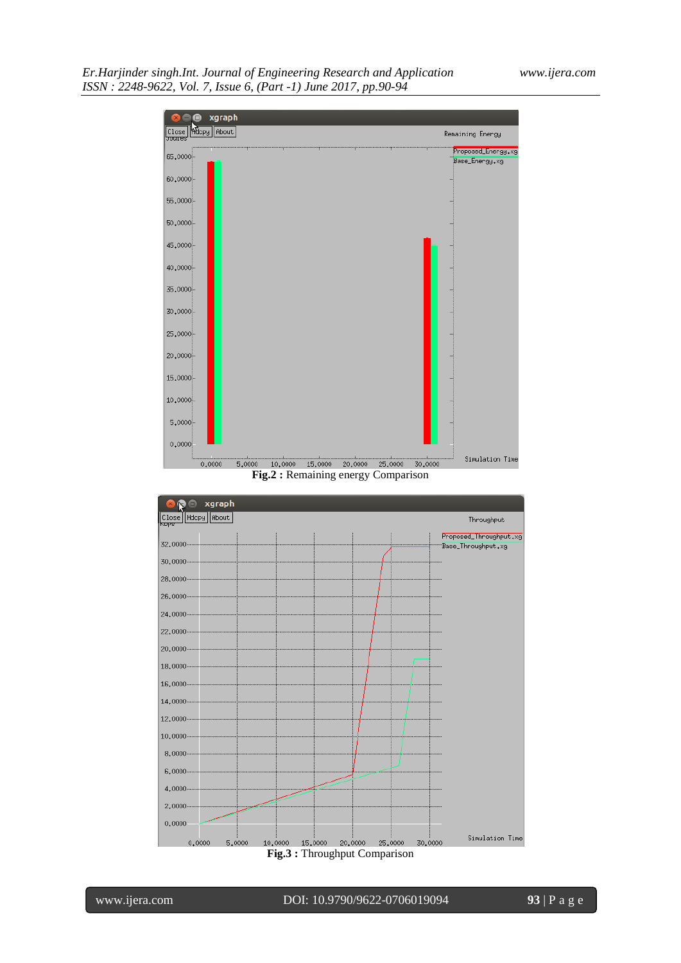*Er.Harjinder singh.Int. Journal of Engineering Research and Application www.ijera.com ISSN : 2248-9622, Vol. 7, Issue 6, (Part -1) June 2017, pp.90-94*



**Fig.3 :** Throughput Comparison

0.0000

 $0,0000$ 

 $5,0000$ 

Simulation Time